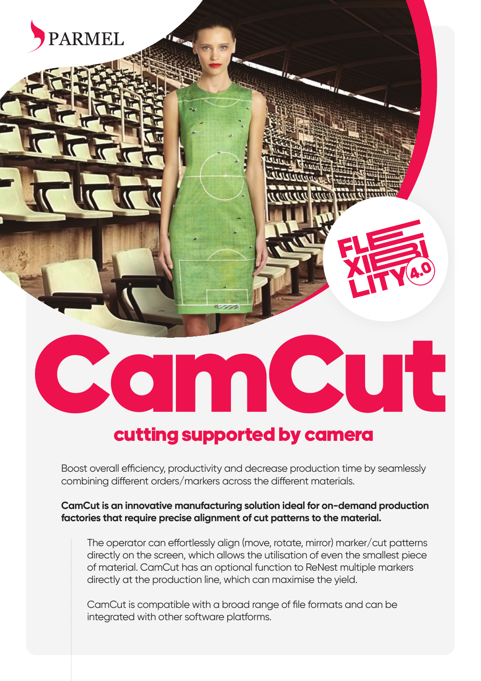

# cutting supported by camera

Boost overall efficiency, productivity and decrease production time by seamlessly combining different orders/markers across the different materials.

**CamCut is an innovative manufacturing solution ideal for on-demand production factories that require precise alignment of cut patterns to the material.** 

The operator can effortlessly align (move, rotate, mirror) marker/cut patterns directly on the screen, which allows the utilisation of even the smallest piece of material. CamCut has an optional function to ReNest multiple markers directly at the production line, which can maximise the yield.

CamCut is compatible with a broad range of file formats and can be integrated with other software platforms.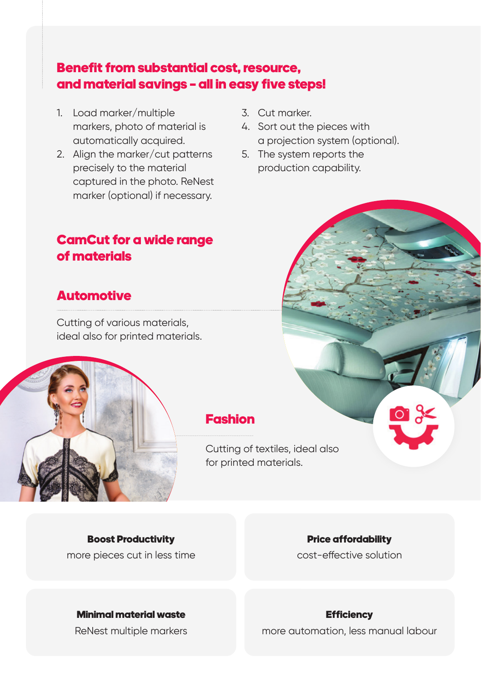# Benefit from substantial cost, resource, and material savings – all in easy five steps!

- 1. Load marker/multiple markers, photo of material is automatically acquired.
- 2. Align the marker/cut patterns precisely to the material captured in the photo. ReNest marker (optional) if necessary.
- 3. Cut marker.
- 4. Sort out the pieces with a projection system (optional).
- 5. The system reports the production capability.

### CamCut for a wide range of materials

# **Automotive**

Cutting of various materials, ideal also for printed materials.



### Fashion

Cutting of textiles, ideal also for printed materials.

Boost Productivity more pieces cut in less time

### Price affordability

cost-effective solution

#### Minimal material waste

ReNest multiple markers

#### **Efficiency**

more automation, less manual labour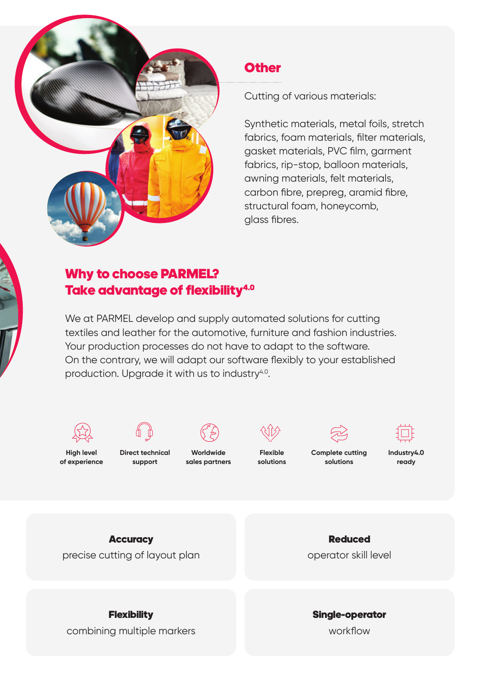

### **Other**

Cutting of various materials:

Synthetic materials, metal foils, stretch fabrics, foam materials, filter materials, gasket materials, PVC film, garment fabrics, rip-stop, balloon materials, awning materials, felt materials, carbon fibre, prepreg, aramid fibre, structural foam, honeycomb, glass fibres.

# Why to choose PARMEL? Take advantage of flexibility<sup>4.0</sup>

We at PARMEL develop and supply automated solutions for cutting textiles and leather for the automotive, furniture and fashion industries. Your production processes do not have to adapt to the software. On the contrary, we will adapt our software flexibly to your established production. Upgrade it with us to industry<sup>4.0</sup>.



**Flexibility** combining multiple markers

workflow